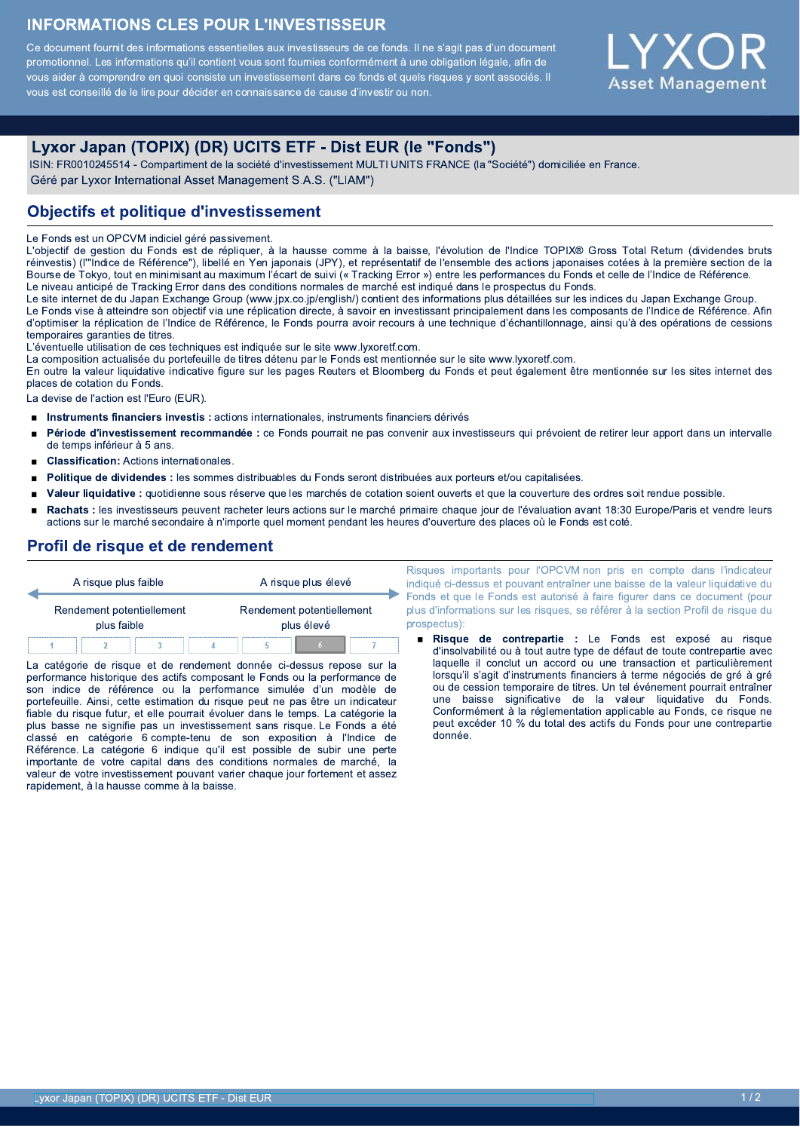## **INFORMATIONS CLES POUR L'INVESTISSEUR**

Ce document fournit des informations essentielles aux investisseurs de ce fonds. Il ne s'agit pas d'un document promotionnel. Les informations qu'il contient vous sont fournies conformément à une obligation légale, afin de vous aider à comprendre en quoi consiste un investissement dans ce fonds et quels risques y sont associés. Il vous est conseillé de le lire pour décider en connaissance de cause d'investir ou non.



# Lyxor Japan (TOPIX) (DR) UCITS ETF - Dist EUR (le "Fonds")

ISIN: FR0010245514 - Compartiment de la société d'investissement MULTI UNITS FRANCE (la "Société") domiciliée en France. Géré par Lyxor International Asset Management S.A.S. ("LIAM")

### **Objectifs et politique d'investissement**

Le Fonds est un OPCVM indiciel géré passivement.

L'objectif de gestion du Fonds est de répliquer, à la hausse comme à la baisse, l'évolution de l'Indice TOPIX® Gross Total Return (dividendes bruts réinvestis) (l'"Indice de Référence"), libellé en Yen japonais (JPY), et représentatif de l'ensemble des actions japonaises cotées à la première section de la Bourse de Tokyo, tout en minimisant au maximum l'écart de suivi (« Tracking Error ») entre les performances du Fonds et celle de l'Indice de Référence. Le niveau anticipé de Tracking Error dans des conditions normales de marché est indiqué dans le prospectus du Fonds.

Le site internet de du Japan Exchange Group (www.jpx.co.jp/english/) contient des informations plus détaillées sur les indices du Japan Exchange Group. Le Fonds vise à atteindre son objectif via une réplication directe, à savoir en investissant principalement dans les composants de l'Indice de Référence. Afin d'optimiser la réplication de l'Indice de Référence, le Fonds pourra avoir recours à une technique d'échantillonnage, ainsi qu'à des opérations de cessions temporaires garanties de titres.

L'éventuelle utilisation de ces techniques est indiquée sur le site www.lyxoretf.com.

La composition actualisée du portefeuille de titres détenu par le Fonds est mentionnée sur le site www.lyxoretf.com.

En outre la valeur liquidative indicative figure sur les pages Reuters et Bloomberg du Fonds et peut également être mentionnée sur les sites internet des places de cotation du Fonds.

La devise de l'action est l'Euro (EUR).

- Instruments financiers investis : actions internationales, instruments financiers dérivés  $\blacksquare$
- Période d'investissement recommandée : ce Fonds pourrait ne pas convenir aux investisseurs qui prévoient de retirer leur apport dans un intervalle de temps inférieur à 5 ans.
- **Classification:** Actions internationales.
- Politique de dividendes : les sommes distribuables du Fonds seront distribuées aux porteurs et/ou capitalisées.
- Valeur liquidative : quotidienne sous réserve que les marchés de cotation soient ouverts et que la couverture des ordres soit rendue possible.
- Rachats : les investisseurs peuvent racheter leurs actions sur le marché primaire chaque jour de l'évaluation avant 18:30 Europe/Paris et vendre leurs actions sur le marché secondaire à n'importe quel moment pendant les heures d'ouverture des places où le Fonds est coté.

# Profil de risque et de rendement

| A risque plus faible                     |  |  |  | A risque plus élevé                     |  |  |  |
|------------------------------------------|--|--|--|-----------------------------------------|--|--|--|
| Rendement potentiellement<br>plus faible |  |  |  | Rendement potentiellement<br>plus élevé |  |  |  |
|                                          |  |  |  |                                         |  |  |  |

La catégorie de risque et de rendement donnée ci-dessus repose sur la performance historique des actifs composant le Fonds ou la performance de son indice de référence ou la performance simulée d'un modèle de portefeuille. Ainsi, cette estimation du risque peut ne pas être un indicateur fiable du risque futur, et elle pourrait évoluer dans le temps. La catégorie la plus basse ne signifie pas un investissement sans risque. Le Fonds a été classé en catégorie 6 compte-tenu de son exposition à l'Indice de Référence. La catégorie 6 indique qu'il est possible de subir une perte importante de votre capital dans des conditions normales de marché. la valeur de votre investissement pouvant varier chaque jour fortement et assez rapidement, à la hausse comme à la baisse.

Risques importants pour l'OPCVM non pris en compte dans l'indicateur indiqué ci-dessus et pouvant entraîner une baisse de la valeur liquidative du Fonds et que le Fonds est autorisé à faire figurer dans ce document (pour plus d'informations sur les risques, se référer à la section Profil de risque du prospectus):

Risque de contrepartie : Le Fonds est exposé au risque d'insolvabilité ou à tout autre type de défaut de toute contrepartie avec laquelle il conclut un accord ou une transaction et particulièrement lorsqu'il s'agit d'instruments financiers à terme négociés de gré à gré ou de cession temporaire de titres. Un tel événement pourrait entraîner une baisse significative de la valeur liquidative du Fonds. Conformément à la réglementation applicable au Fonds, ce risque ne peut excéder 10 % du total des actifs du Fonds pour une contrepartie donnée